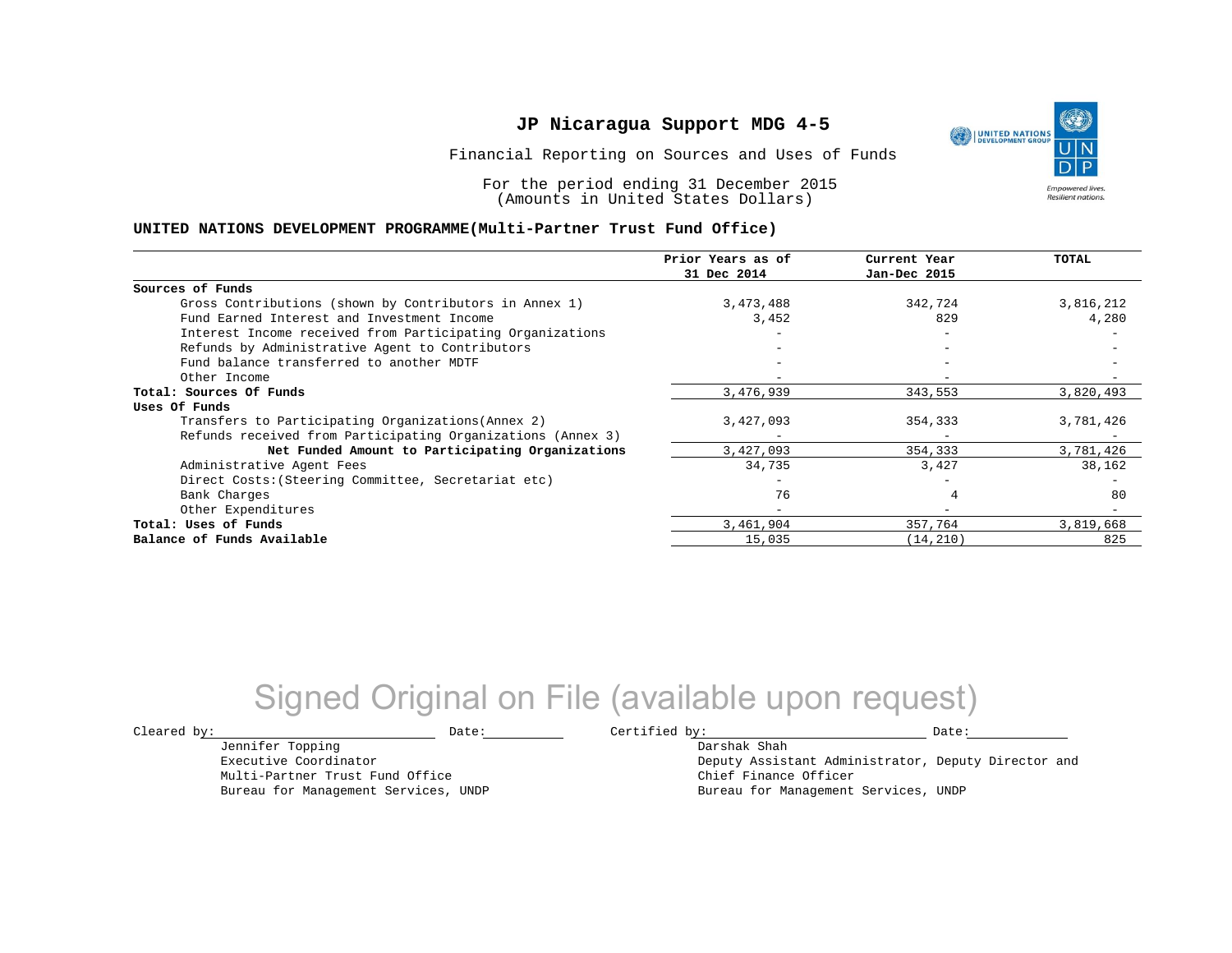Financial Reporting on Sources and Uses of Funds

For the period ending 31 December 2015 (Amounts in United States Dollars)

#### **UNITED NATIONS DEVELOPMENT PROGRAMME(Multi-Partner Trust Fund Office)**

|                                                             | Prior Years as of<br>31 Dec 2014 | Current Year<br>Jan-Dec 2015 | TOTAL     |
|-------------------------------------------------------------|----------------------------------|------------------------------|-----------|
|                                                             |                                  |                              |           |
| Sources of Funds                                            |                                  |                              |           |
| Gross Contributions (shown by Contributors in Annex 1)      | 3,473,488                        | 342,724                      | 3,816,212 |
| Fund Earned Interest and Investment Income                  | 3,452                            | 829                          | 4,280     |
| Interest Income received from Participating Organizations   |                                  |                              |           |
| Refunds by Administrative Agent to Contributors             |                                  |                              |           |
| Fund balance transferred to another MDTF                    |                                  |                              |           |
| Other Income                                                |                                  |                              |           |
| Total: Sources Of Funds                                     | 3,476,939                        | 343,553                      | 3,820,493 |
| Uses Of Funds                                               |                                  |                              |           |
| Transfers to Participating Organizations (Annex 2)          | 3,427,093                        | 354,333                      | 3,781,426 |
| Refunds received from Participating Organizations (Annex 3) |                                  |                              |           |
| Net Funded Amount to Participating Organizations            | 3,427,093                        | 354,333                      | 3,781,426 |
| Administrative Agent Fees                                   | 34,735                           | 3,427                        | 38,162    |
| Direct Costs: (Steering Committee, Secretariat etc)         |                                  |                              |           |
| Bank Charges                                                | 76                               |                              | 80        |
| Other Expenditures                                          | $-$                              | $\overline{\phantom{0}}$     |           |
| Total: Uses of Funds                                        | 3,461,904                        | 357,764                      | 3,819,668 |
| Balance of Funds Available                                  | 15,035                           | (14, 210)                    | 825       |

## Signed Original on File (available upon request)

Jennifer Topping Executive Coordinator Multi-Partner Trust Fund Office Bureau for Management Services, UNDP

 $\texttt{Cleared by:}\footnotesize \begin{minipage}{0.9\linewidth} \texttt{Date:}\footnotesize \begin{minipage}{0.9\linewidth} \texttt{Date:}\footnotesize \begin{minipage}{0.9\linewidth} \end{minipage} \end{minipage}$ Darshak Shah

Deputy Assistant Administrator, Deputy Director and Chief Finance Officer Bureau for Management Services, UNDP

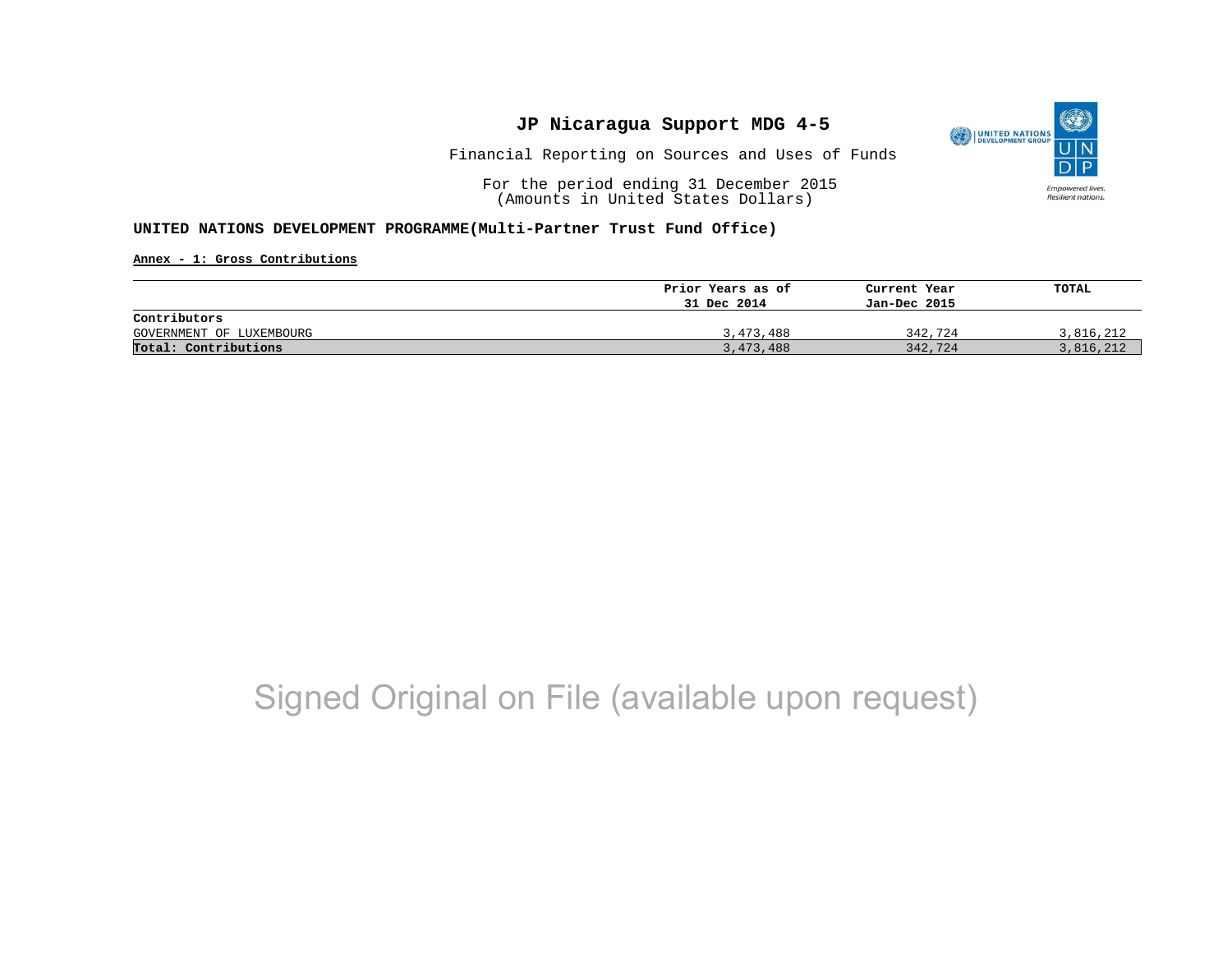

Financial Reporting on Sources and Uses of Funds

For the period ending 31 December 2015 (Amounts in United States Dollars)

#### **UNITED NATIONS DEVELOPMENT PROGRAMME(Multi-Partner Trust Fund Office)**

**Annex - 1: Gross Contributions**

|                          | Prior Years as of | Current Year | TOTAL     |
|--------------------------|-------------------|--------------|-----------|
|                          | 31 Dec 2014       | Jan-Dec 2015 |           |
| Contributors             |                   |              |           |
| GOVERNMENT OF LUXEMBOURG | 3,473,488         | 342,724      | 3,816,212 |
| Total: Contributions     | 3,473,488         | 342,724      | 3,816,212 |

## Signed Original on File (available upon request)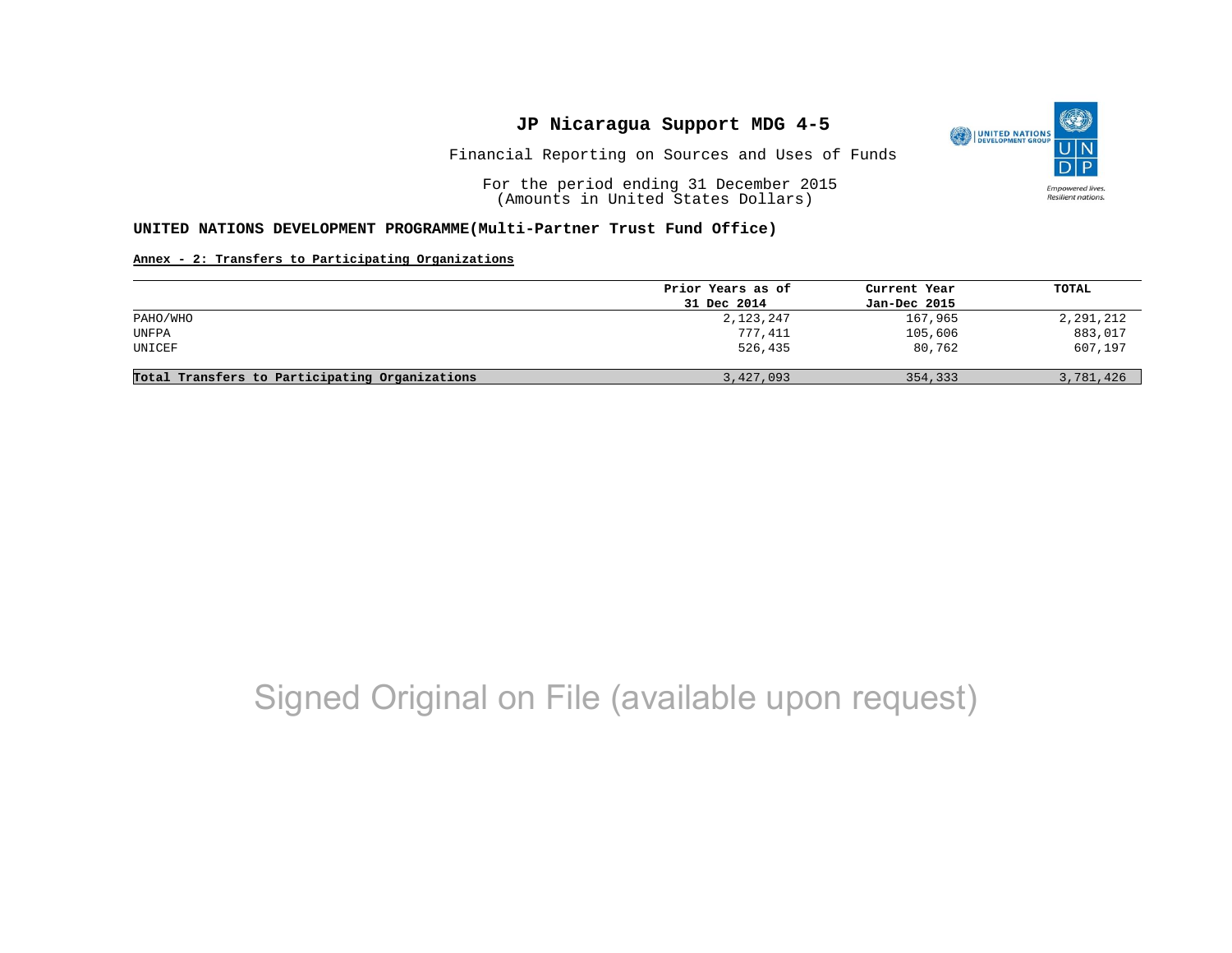

Resilient nations.

Financial Reporting on Sources and Uses of Funds

For the period ending 31 December 2015 (Amounts in United States Dollars)

#### **UNITED NATIONS DEVELOPMENT PROGRAMME(Multi-Partner Trust Fund Office)**

#### **Annex - 2: Transfers to Participating Organizations**

|                                                | Prior Years as of | Current Year | TOTAL     |
|------------------------------------------------|-------------------|--------------|-----------|
|                                                | 31 Dec 2014       | Jan-Dec 2015 |           |
| PAHO/WHO                                       | 2,123,247         | 167,965      | 2,291,212 |
| UNFPA                                          | 777,411           | 105,606      | 883,017   |
| UNICEF                                         | 526,435           | 80,762       | 607,197   |
| Total Transfers to Participating Organizations | 3,427,093         | 354,333      | 3,781,426 |

## Signed Original on File (available upon request)